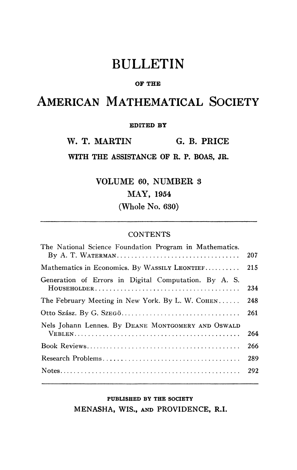# BULLETIN

#### **OF THE**

## AMERICAN MATHEMATICAL SOCIETY

### **EDITED BY**

W. T. MARTIN G. B. PRICE

**WITH THE ASSISTANCE OP R. P. BOAS, JR.** 

VOLUME 60, NUMBER 3 MAY, 1954 (Whole No. 630)

### CONTENTS

| The National Science Foundation Program in Mathematics. |     |
|---------------------------------------------------------|-----|
|                                                         | 207 |
| Mathematics in Economics. By WASSILY LEONTIEF           | 215 |
| Generation of Errors in Digital Computation. By A. S.   |     |
|                                                         | 234 |
| The February Meeting in New York. By L. W. COHEN        | 248 |
|                                                         | 261 |
| Nels Johann Lennes. By DEANE MONTGOMERY AND OSWALD      |     |
|                                                         | 264 |
|                                                         | 266 |
|                                                         | 289 |
|                                                         | 292 |
|                                                         |     |

### **PUBLISHED BY THE SOCIETY**

**MENASHA, WIS., AND PROVIDENCE, R.I.**